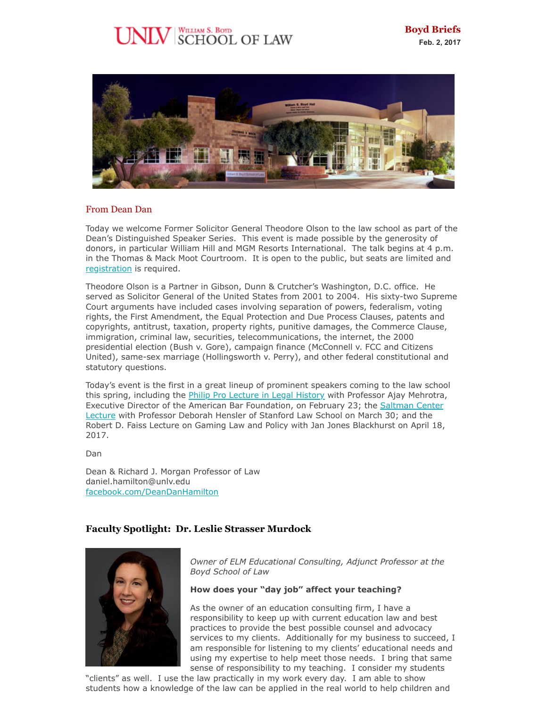# $\rm{UV}$  SCHOOL OF LAW



## From Dean Dan

Today we welcome Former Solicitor General Theodore Olson to the law school as part of the Dean's Distinguished Speaker Series. This event is made possible by the generosity of donors, in particular William Hill and MGM Resorts International. The talk begins at 4 p.m. in the Thomas & Mack Moot Courtroom. It is open to the public, but seats are limited and [registration](https://www.eventbrite.com/e/a-discussion-with-theodore-olson-tickets-30942643279) is required.

Theodore Olson is a Partner in Gibson, Dunn & Crutcher's Washington, D.C. office. He served as Solicitor General of the United States from 2001 to 2004. His sixty-two Supreme Court arguments have included cases involving separation of powers, federalism, voting rights, the First Amendment, the Equal Protection and Due Process Clauses, patents and copyrights, antitrust, taxation, property rights, punitive damages, the Commerce Clause, immigration, criminal law, securities, telecommunications, the internet, the 2000 presidential election (Bush v. Gore), campaign finance (McConnell v. FCC and Citizens United), same-sex marriage (Hollingsworth v. Perry), and other federal constitutional and statutory questions.

Today's event is the first in a great lineup of prominent speakers coming to the law school this spring, including the *Philip Pro Lecture in Legal History* with Professor Ajay Mehrotra, [Executive Director of the American Bar Foundation, on February 23; the Saltman Center](https://www.eventbrite.com/e/re-inventing-arbitration-drawing-lessons-from-international-trade-treaty-controversies-tickets-31102859490?aff=erelpanelorg) Lecture with Professor Deborah Hensler of Stanford Law School on March 30; and the Robert D. Faiss Lecture on Gaming Law and Policy with Jan Jones Blackhurst on April 18, 2017.

Dan

Dean & Richard J. Morgan Professor of Law daniel.hamilton@unlv.edu [facebook.com/DeanDanHamilton](https://www.facebook.com/DeanDanHamilton)

## **Faculty Spotlight: Dr. Leslie Strasser Murdock**



*Owner of ELM Educational Consulting, Adjunct Professor at the Boyd School of Law*

## **How does your "day job" affect your teaching?**

As the owner of an education consulting firm, I have a responsibility to keep up with current education law and best practices to provide the best possible counsel and advocacy services to my clients. Additionally for my business to succeed, I am responsible for listening to my clients' educational needs and using my expertise to help meet those needs. I bring that same sense of responsibility to my teaching. I consider my students

"clients" as well. I use the law practically in my work every day. I am able to show students how a knowledge of the law can be applied in the real world to help children and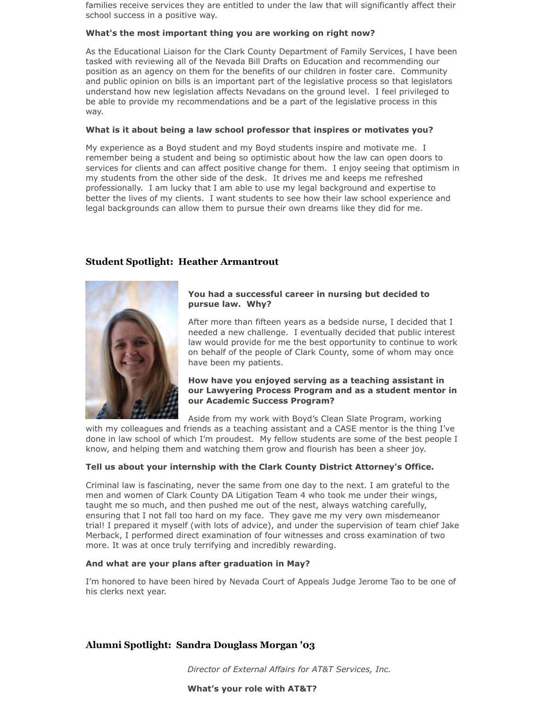families receive services they are entitled to under the law that will significantly affect their school success in a positive way.

#### **What's the most important thing you are working on right now?**

As the Educational Liaison for the Clark County Department of Family Services, I have been tasked with reviewing all of the Nevada Bill Drafts on Education and recommending our position as an agency on them for the benefits of our children in foster care. Community and public opinion on bills is an important part of the legislative process so that legislators understand how new legislation affects Nevadans on the ground level. I feel privileged to be able to provide my recommendations and be a part of the legislative process in this way.

#### **What is it about being a law school professor that inspires or motivates you?**

My experience as a Boyd student and my Boyd students inspire and motivate me. I remember being a student and being so optimistic about how the law can open doors to services for clients and can affect positive change for them. I enjoy seeing that optimism in my students from the other side of the desk. It drives me and keeps me refreshed professionally. I am lucky that I am able to use my legal background and expertise to better the lives of my clients. I want students to see how their law school experience and legal backgrounds can allow them to pursue their own dreams like they did for me.

## **Student Spotlight: Heather Armantrout**



## **You had a successful career in nursing but decided to pursue law. Why?**

After more than fifteen years as a bedside nurse, I decided that I needed a new challenge. I eventually decided that public interest law would provide for me the best opportunity to continue to work on behalf of the people of Clark County, some of whom may once have been my patients.

## **How have you enjoyed serving as a teaching assistant in our Lawyering Process Program and as a student mentor in our Academic Success Program?**

Aside from my work with Boyd's Clean Slate Program, working

with my colleagues and friends as a teaching assistant and a CASE mentor is the thing I've done in law school of which I'm proudest. My fellow students are some of the best people I know, and helping them and watching them grow and flourish has been a sheer joy.

## **Tell us about your internship with the Clark County District Attorney's Office.**

Criminal law is fascinating, never the same from one day to the next. I am grateful to the men and women of Clark County DA Litigation Team 4 who took me under their wings, taught me so much, and then pushed me out of the nest, always watching carefully, ensuring that I not fall too hard on my face. They gave me my very own misdemeanor trial! I prepared it myself (with lots of advice), and under the supervision of team chief Jake Merback, I performed direct examination of four witnesses and cross examination of two more. It was at once truly terrifying and incredibly rewarding.

## **And what are your plans after graduation in May?**

I'm honored to have been hired by Nevada Court of Appeals Judge Jerome Tao to be one of his clerks next year.

## **Alumni Spotlight: Sandra Douglass Morgan '03**

*Director of External Affairs for AT&T Services, Inc.*

#### **What's your role with AT&T?**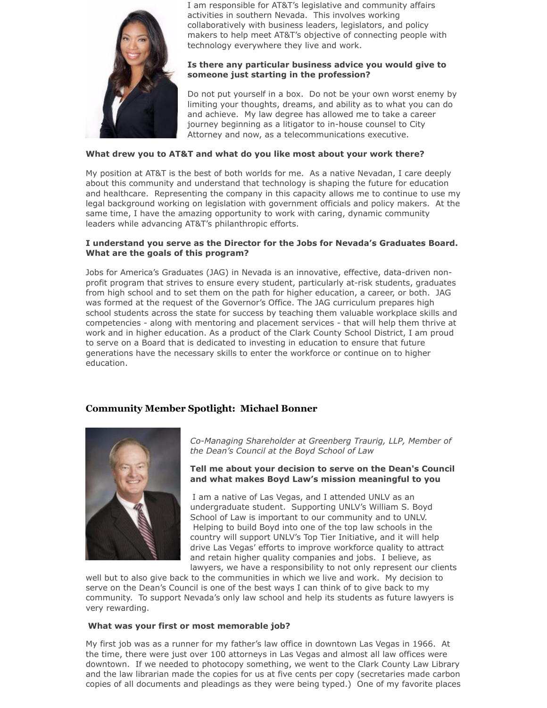

I am responsible for AT&T's legislative and community affairs activities in southern Nevada. This involves working collaboratively with business leaders, legislators, and policy makers to help meet AT&T's objective of connecting people with technology everywhere they live and work.

## **Is there any particular business advice you would give to someone just starting in the profession?**

Do not put yourself in a box. Do not be your own worst enemy by limiting your thoughts, dreams, and ability as to what you can do and achieve. My law degree has allowed me to take a career journey beginning as a litigator to in-house counsel to City Attorney and now, as a telecommunications executive.

## **What drew you to AT&T and what do you like most about your work there?**

My position at AT&T is the best of both worlds for me. As a native Nevadan, I care deeply about this community and understand that technology is shaping the future for education and healthcare. Representing the company in this capacity allows me to continue to use my legal background working on legislation with government officials and policy makers. At the same time, I have the amazing opportunity to work with caring, dynamic community leaders while advancing AT&T's philanthropic efforts.

## **I understand you serve as the Director for the Jobs for Nevada's Graduates Board. What are the goals of this program?**

Jobs for America's Graduates (JAG) in Nevada is an innovative, effective, data-driven nonprofit program that strives to ensure every student, particularly at-risk students, graduates from high school and to set them on the path for higher education, a career, or both. JAG was formed at the request of the Governor's Office. The JAG curriculum prepares high school students across the state for success by teaching them valuable workplace skills and competencies - along with mentoring and placement services - that will help them thrive at work and in higher education. As a product of the Clark County School District, I am proud to serve on a Board that is dedicated to investing in education to ensure that future generations have the necessary skills to enter the workforce or continue on to higher education.

## **Community Member Spotlight: Michael Bonner**



*Co-Managing Shareholder at Greenberg Traurig, LLP, Member of the Dean's Council at the Boyd School of Law*

#### **Tell me about your decision to serve on the Dean's Council and what makes Boyd Law's mission meaningful to you**

I am a native of Las Vegas, and I attended UNLV as an undergraduate student. Supporting UNLV's William S. Boyd School of Law is important to our community and to UNLV. Helping to build Boyd into one of the top law schools in the country will support UNLV's Top Tier Initiative, and it will help drive Las Vegas' efforts to improve workforce quality to attract and retain higher quality companies and jobs. I believe, as lawyers, we have a responsibility to not only represent our clients

well but to also give back to the communities in which we live and work. My decision to serve on the Dean's Council is one of the best ways I can think of to give back to my community. To support Nevada's only law school and help its students as future lawyers is very rewarding.

## **What was your first or most memorable job?**

My first job was as a runner for my father's law office in downtown Las Vegas in 1966. At the time, there were just over 100 attorneys in Las Vegas and almost all law offices were downtown. If we needed to photocopy something, we went to the Clark County Law Library and the law librarian made the copies for us at five cents per copy (secretaries made carbon copies of all documents and pleadings as they were being typed.) One of my favorite places